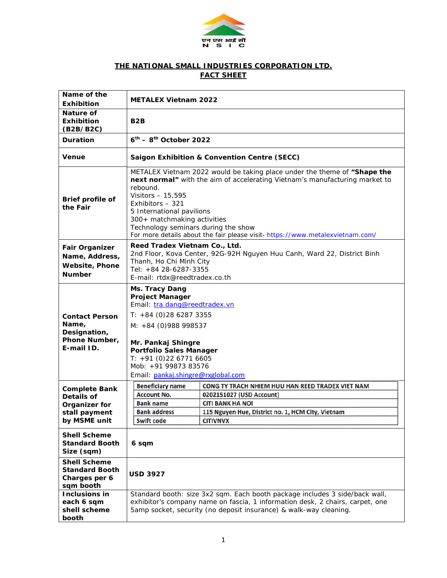

## **THE NATIONAL SMALL INDUSTRIES CORPORATION LTD. FACT SHEET**

| Name of the<br><b>Exhibition</b>                                                                                                                   | <b>METALEX Vietnam 2022</b>                                                                                                                                                                                                                                                                                                                                                                      |                                                                                                                                                                                 |  |
|----------------------------------------------------------------------------------------------------------------------------------------------------|--------------------------------------------------------------------------------------------------------------------------------------------------------------------------------------------------------------------------------------------------------------------------------------------------------------------------------------------------------------------------------------------------|---------------------------------------------------------------------------------------------------------------------------------------------------------------------------------|--|
| Nature of<br><b>Exhibition</b><br>(B2B/B2C)                                                                                                        | B <sub>2</sub> B                                                                                                                                                                                                                                                                                                                                                                                 |                                                                                                                                                                                 |  |
| <b>Duration</b>                                                                                                                                    | $6th$ – 8 <sup>th</sup> October 2022                                                                                                                                                                                                                                                                                                                                                             |                                                                                                                                                                                 |  |
| <b>Venue</b>                                                                                                                                       | <b>Saigon Exhibition &amp; Convention Centre (SECC)</b>                                                                                                                                                                                                                                                                                                                                          |                                                                                                                                                                                 |  |
| Brief profile of<br>the Fair                                                                                                                       | METALEX Vietnam 2022 would be taking place under the theme of "Shape the<br>next normal" with the aim of accelerating Vietnam's manufacturing market to<br>rebound.<br>Visitors - 15,595<br>Exhibitors - 321<br>5 International pavilions<br>300+ matchmaking activities<br>Technology seminars during the show<br>For more details about the fair please visit- https://www.metalexvietnam.com/ |                                                                                                                                                                                 |  |
| <b>Fair Organizer</b><br>Name, Address,<br><b>Website, Phone</b><br><b>Number</b>                                                                  | Reed Tradex Vietnam Co., Ltd.<br>2nd Floor, Kova Center, 92G-92H Nguyen Huu Canh, Ward 22, District Binh<br>Thanh, Ho Chi Minh City<br>Tel: +84 28-6287-3355<br>E-mail: rtdx@reedtradex.co.th                                                                                                                                                                                                    |                                                                                                                                                                                 |  |
| <b>Contact Person</b><br>Name,<br>Designation,<br>Phone Number,<br>E-mail ID.                                                                      | Ms. Tracy Dang<br><b>Project Manager</b><br>Email: tra.dang@reedtradex.vn<br>$T: +84$ (0) 28 6287 3355<br>M: +84 (0) 988 998537<br>Mr. Pankaj Shingre<br><b>Portfolio Sales Manager</b><br>$T: +91(0)2267716605$<br>Mob: +91 99873 83576<br>Email: pankaj.shingre@rxglobal.com                                                                                                                   |                                                                                                                                                                                 |  |
| <b>Complete Bank</b><br>Details of<br>Organizer for<br>stall payment<br>by MSME unit<br><b>Shell Scheme</b><br><b>Standard Booth</b><br>Size (sqm) | <b>Beneficiary name</b><br><b>Account No.</b><br><b>Bank name</b><br><b>Bank address</b><br>Swift code<br>6 sqm                                                                                                                                                                                                                                                                                  | CONG TY TRACH NHIEM HUU HAN REED TRADEX VIET NAM<br>0202151027 (USD Account)<br><b>CITI BANK HA NOI</b><br>115 Nguyen Hue, District no. 1, HCM City, Vietnam<br><b>CITIVNVX</b> |  |
| <b>Shell Scheme</b><br><b>Standard Booth</b><br>Charges per 6<br>sqm booth<br>Inclusions in                                                        | <b>USD 3927</b><br>Standard booth: size 3x2 sqm. Each booth package includes 3 side/back wall,                                                                                                                                                                                                                                                                                                   |                                                                                                                                                                                 |  |
| each 6 sqm<br>shell scheme<br>booth                                                                                                                | exhibitor's company name on fascia, 1 information desk, 2 chairs, carpet, one<br>5amp socket, security (no deposit insurance) & walk-way cleaning.                                                                                                                                                                                                                                               |                                                                                                                                                                                 |  |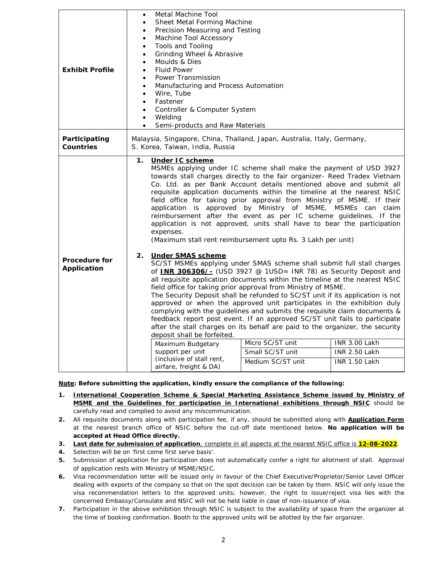| <b>Exhibit Profile</b>              | Metal Machine Tool<br>$\bullet$<br>Sheet Metal Forming Machine<br>٠<br>Precision Measuring and Testing<br>$\bullet$<br>Machine Tool Accessory<br>$\bullet$<br><b>Tools and Tooling</b><br>$\bullet$<br>Grinding Wheel & Abrasive<br>$\bullet$<br>Moulds & Dies<br>$\bullet$<br><b>Fluid Power</b><br>$\bullet$<br>Power Transmission<br>$\bullet$<br>Manufacturing and Process Automation<br>$\bullet$<br>Wire, Tube<br>$\bullet$<br>Fastener<br>$\bullet$<br>Controller & Computer System<br>Welding<br>$\bullet$<br>Semi-products and Raw Materials<br>$\bullet$                                                                                                                                                                                                                                                                                                                                                                                                                                                                                                                                                                                                                                                                                                                                                                                                                                                                                                                                                                                                                                                                                                                                                  |  |  |
|-------------------------------------|---------------------------------------------------------------------------------------------------------------------------------------------------------------------------------------------------------------------------------------------------------------------------------------------------------------------------------------------------------------------------------------------------------------------------------------------------------------------------------------------------------------------------------------------------------------------------------------------------------------------------------------------------------------------------------------------------------------------------------------------------------------------------------------------------------------------------------------------------------------------------------------------------------------------------------------------------------------------------------------------------------------------------------------------------------------------------------------------------------------------------------------------------------------------------------------------------------------------------------------------------------------------------------------------------------------------------------------------------------------------------------------------------------------------------------------------------------------------------------------------------------------------------------------------------------------------------------------------------------------------------------------------------------------------------------------------------------------------|--|--|
| Participating<br><b>Countries</b>   | Malaysia, Singapore, China, Thailand, Japan, Australia, Italy, Germany,<br>S. Korea, Taiwan, India, Russia                                                                                                                                                                                                                                                                                                                                                                                                                                                                                                                                                                                                                                                                                                                                                                                                                                                                                                                                                                                                                                                                                                                                                                                                                                                                                                                                                                                                                                                                                                                                                                                                          |  |  |
| <b>Procedure for</b><br>Application | 1.<br>Under IC scheme<br>MSMEs applying under IC scheme shall make the payment of USD 3927<br>towards stall charges directly to the fair organizer- Reed Tradex Vietnam<br>Co. Ltd. as per Bank Account details mentioned above and submit all<br>requisite application documents within the timeline at the nearest NSIC<br>field office for taking prior approval from Ministry of MSME. If their<br>application is approved by Ministry of MSME, MSMEs can claim<br>reimbursement after the event as per IC scheme guidelines. If the<br>application is not approved, units shall have to bear the participation<br>expenses.<br>(Maximum stall rent reimbursement upto Rs. 3 Lakh per unit)<br>2.<br><b>Under SMAS scheme</b><br>SC/ST MSMEs applying under SMAS scheme shall submit full stall charges<br>of <b>INR 306306/-</b> (USD 3927 @ 1USD= INR 78) as Security Deposit and<br>all requisite application documents within the timeline at the nearest NSIC<br>field office for taking prior approval from Ministry of MSME.<br>The Security Deposit shall be refunded to SC/ST unit if its application is not<br>approved or when the approved unit participates in the exhibition duly<br>complying with the guidelines and submits the requisite claim documents &<br>feedback report post event. If an approved SC/ST unit fails to participate<br>after the stall charges on its behalf are paid to the organizer, the security<br>deposit shall be forfeited.<br>Micro SC/ST unit<br><b>INR 3.00 Lakh</b><br>Maximum Budgetary<br>Small SC/ST unit<br>support per unit<br><b>INR 2.50 Lakh</b><br>(inclusive of stall rent,<br>Medium SC/ST unit<br><b>INR 1.50 Lakh</b><br>airfare, freight & DA) |  |  |

**Note: Before submitting the application, kindly ensure the compliance of the following:** 

- **1. International Cooperation Scheme & Special Marketing Assistance Scheme issued by Ministry of MSME and the Guidelines for participation in International exhibitions through NSIC** should be carefully read and complied to avoid any miscommunication.
- **2.** All requisite documents along with participation fee, if any, should be submitted along with **Application Form** at the nearest branch office of NSIC before the cut-off date mentioned below. **No application will be accepted at Head Office directly.**
- **3. Last date for submission of application**, complete in all aspects at the nearest NSIC office is **12-08-2022**.
- **4.** Selection will be on 'first come first serve basis'.
- **5.** Submission of application for participation does not automatically confer a right for allotment of stall. Approval of application rests with Ministry of MSME/NSIC.
- **6.** Visa recommendation letter will be issued only in favour of the Chief Executive/Proprietor/Senior Level Officer dealing with exports of the company so that on the spot decision can be taken by them. NSIC will only issue the visa recommendation letters to the approved units; however, the right to issue/reject visa lies with the concerned Embassy/Consulate and NSIC will not be held liable in case of non-issuance of visa.
- **7.** Participation in the above exhibition through NSIC is subject to the availability of space from the organizer at the time of booking confirmation. Booth to the approved units will be allotted by the fair organizer.